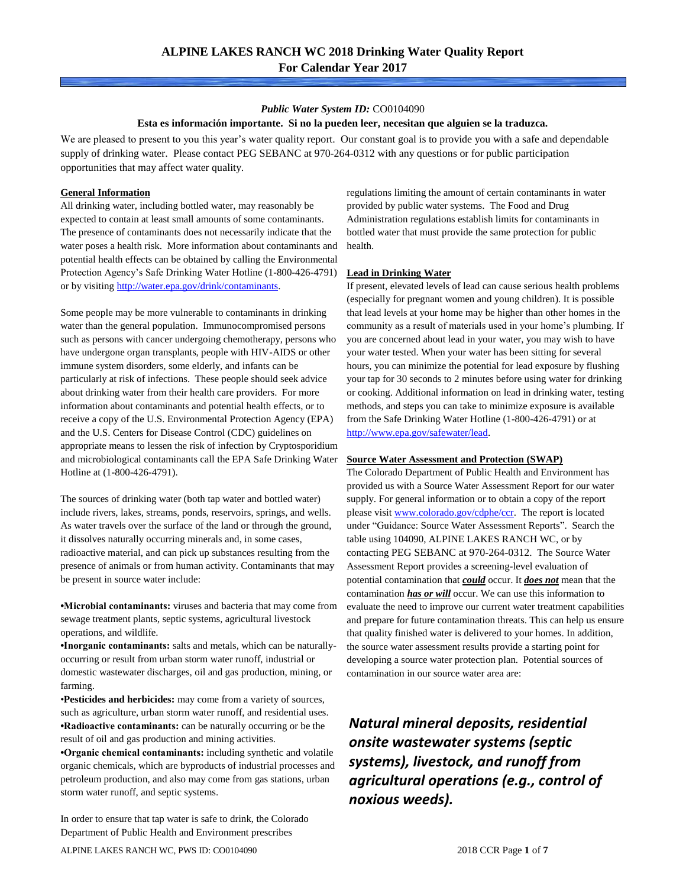## *Public Water System ID:* CO0104090

## **Esta es información importante. Si no la pueden leer, necesitan que alguien se la traduzca.**

We are pleased to present to you this year's water quality report. Our constant goal is to provide you with a safe and dependable supply of drinking water. Please contact PEG SEBANC at 970-264-0312 with any questions or for public participation opportunities that may affect water quality.

## **General Information**

All drinking water, including bottled water, may reasonably be expected to contain at least small amounts of some contaminants. The presence of contaminants does not necessarily indicate that the water poses a health risk. More information about contaminants and potential health effects can be obtained by calling the Environmental Protection Agency's Safe Drinking Water Hotline (1-800-426-4791) or by visiting [http://water.epa.gov/drink/contaminants.](http://water.epa.gov/drink/contaminants)

Some people may be more vulnerable to contaminants in drinking water than the general population. Immunocompromised persons such as persons with cancer undergoing chemotherapy, persons who have undergone organ transplants, people with HIV-AIDS or other immune system disorders, some elderly, and infants can be particularly at risk of infections. These people should seek advice about drinking water from their health care providers. For more information about contaminants and potential health effects, or to receive a copy of the U.S. Environmental Protection Agency (EPA) and the U.S. Centers for Disease Control (CDC) guidelines on appropriate means to lessen the risk of infection by Cryptosporidium and microbiological contaminants call the EPA Safe Drinking Water Hotline at (1-800-426-4791).

The sources of drinking water (both tap water and bottled water) include rivers, lakes, streams, ponds, reservoirs, springs, and wells. As water travels over the surface of the land or through the ground, it dissolves naturally occurring minerals and, in some cases, radioactive material, and can pick up substances resulting from the presence of animals or from human activity. Contaminants that may be present in source water include:

**•Microbial contaminants:** viruses and bacteria that may come from sewage treatment plants, septic systems, agricultural livestock operations, and wildlife.

**•Inorganic contaminants:** salts and metals, which can be naturallyoccurring or result from urban storm water runoff, industrial or domestic wastewater discharges, oil and gas production, mining, or farming.

•**Pesticides and herbicides:** may come from a variety of sources, such as agriculture, urban storm water runoff, and residential uses. **•Radioactive contaminants:** can be naturally occurring or be the result of oil and gas production and mining activities.

**•Organic chemical contaminants:** including synthetic and volatile organic chemicals, which are byproducts of industrial processes and petroleum production, and also may come from gas stations, urban storm water runoff, and septic systems.

In order to ensure that tap water is safe to drink, the Colorado Department of Public Health and Environment prescribes

regulations limiting the amount of certain contaminants in water provided by public water systems. The Food and Drug Administration regulations establish limits for contaminants in bottled water that must provide the same protection for public health.

## **Lead in Drinking Water**

If present, elevated levels of lead can cause serious health problems (especially for pregnant women and young children). It is possible that lead levels at your home may be higher than other homes in the community as a result of materials used in your home's plumbing. If you are concerned about lead in your water, you may wish to have your water tested. When your water has been sitting for several hours, you can minimize the potential for lead exposure by flushing your tap for 30 seconds to 2 minutes before using water for drinking or cooking. Additional information on lead in drinking water, testing methods, and steps you can take to minimize exposure is available from the Safe Drinking Water Hotline (1-800-426-4791) or at [http://www.epa.gov/safewater/lead.](http://www.epa.gov/safewater/lead) 

#### **Source Water Assessment and Protection (SWAP)**

The Colorado Department of Public Health and Environment has provided us with a Source Water Assessment Report for our water supply. For general information or to obtain a copy of the report please visit [www.colorado.gov/cdphe/ccr.](https://www.colorado.gov/cdphe/ccr) The report is located under "Guidance: Source Water Assessment Reports". Search the table using 104090, ALPINE LAKES RANCH WC, or by contacting PEG SEBANC at 970-264-0312. The Source Water Assessment Report provides a screening-level evaluation of potential contamination that *could* occur. It *does not* mean that the contamination *has or will* occur. We can use this information to evaluate the need to improve our current water treatment capabilities and prepare for future contamination threats. This can help us ensure that quality finished water is delivered to your homes. In addition, the source water assessment results provide a starting point for developing a source water protection plan. Potential sources of contamination in our source water area are:

*Natural mineral deposits, residential onsite wastewater systems (septic systems), livestock, and runoff from agricultural operations (e.g., control of noxious weeds).*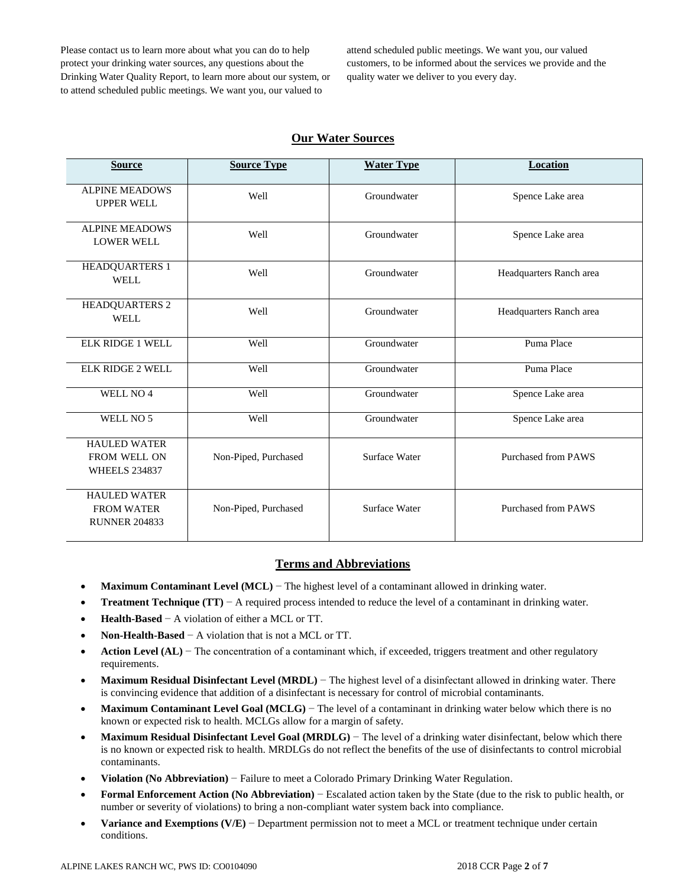Please contact us to learn more about what you can do to help protect your drinking water sources, any questions about the Drinking Water Quality Report, to learn more about our system, or to attend scheduled public meetings. We want you, our valued to

attend scheduled public meetings. We want you, our valued customers, to be informed about the services we provide and the quality water we deliver to you every day.

## **Our Water Sources**

| <b>Source</b>                                                      | <b>Source Type</b>   | <b>Water Type</b> | Location                   |
|--------------------------------------------------------------------|----------------------|-------------------|----------------------------|
| <b>ALPINE MEADOWS</b><br><b>UPPER WELL</b>                         | Well                 | Groundwater       | Spence Lake area           |
| <b>ALPINE MEADOWS</b><br><b>LOWER WELL</b>                         | Well                 | Groundwater       | Spence Lake area           |
| <b>HEADQUARTERS 1</b><br><b>WELL</b>                               | Well                 | Groundwater       | Headquarters Ranch area    |
| <b>HEADQUARTERS 2</b><br><b>WELL</b>                               | Well                 | Groundwater       | Headquarters Ranch area    |
| <b>ELK RIDGE 1 WELL</b>                                            | Well                 | Groundwater       | Puma Place                 |
| <b>ELK RIDGE 2 WELL</b>                                            | Well                 | Groundwater       | Puma Place                 |
| WELL NO <sub>4</sub>                                               | Well                 | Groundwater       | Spence Lake area           |
| WELL NO 5                                                          | Well                 | Groundwater       | Spence Lake area           |
| <b>HAULED WATER</b><br><b>FROM WELL ON</b><br><b>WHEELS 234837</b> | Non-Piped, Purchased | Surface Water     | <b>Purchased from PAWS</b> |
| <b>HAULED WATER</b><br><b>FROM WATER</b><br><b>RUNNER 204833</b>   | Non-Piped, Purchased | Surface Water     | <b>Purchased from PAWS</b> |

## **Terms and Abbreviations**

- **Maximum Contaminant Level (MCL)** − The highest level of a contaminant allowed in drinking water.
- **Treatment Technique (TT)** − A required process intended to reduce the level of a contaminant in drinking water.
- **Health-Based** − A violation of either a MCL or TT.
- **Non-Health-Based** − A violation that is not a MCL or TT.
- **Action Level (AL)** − The concentration of a contaminant which, if exceeded, triggers treatment and other regulatory requirements.
- **Maximum Residual Disinfectant Level (MRDL)** − The highest level of a disinfectant allowed in drinking water. There is convincing evidence that addition of a disinfectant is necessary for control of microbial contaminants.
- **Maximum Contaminant Level Goal (MCLG)** − The level of a contaminant in drinking water below which there is no known or expected risk to health. MCLGs allow for a margin of safety.
- **Maximum Residual Disinfectant Level Goal (MRDLG)** − The level of a drinking water disinfectant, below which there is no known or expected risk to health. MRDLGs do not reflect the benefits of the use of disinfectants to control microbial contaminants.
- **Violation (No Abbreviation)** − Failure to meet a Colorado Primary Drinking Water Regulation.
- **Formal Enforcement Action (No Abbreviation)** − Escalated action taken by the State (due to the risk to public health, or number or severity of violations) to bring a non-compliant water system back into compliance.
- **Variance and Exemptions (V/E)** − Department permission not to meet a MCL or treatment technique under certain conditions.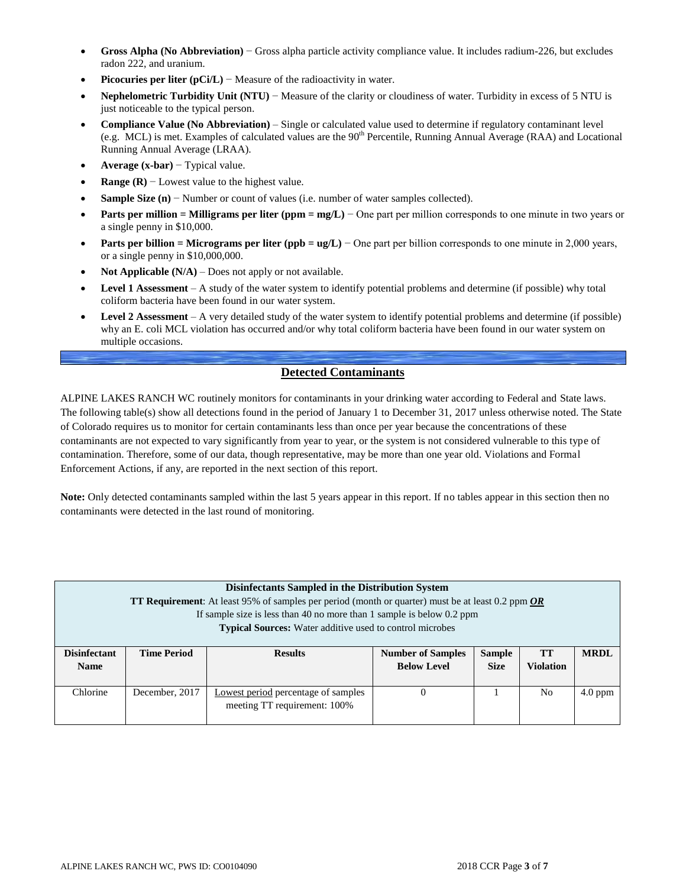- **Gross Alpha (No Abbreviation)** − Gross alpha particle activity compliance value. It includes radium-226, but excludes radon 222, and uranium.
- **Picocuries per liter (pCi/L)** − Measure of the radioactivity in water.
- **Nephelometric Turbidity Unit (NTU)** − Measure of the clarity or cloudiness of water. Turbidity in excess of 5 NTU is just noticeable to the typical person.
- **Compliance Value (No Abbreviation)** Single or calculated value used to determine if regulatory contaminant level (e.g. MCL) is met. Examples of calculated values are the 90<sup>th</sup> Percentile, Running Annual Average (RAA) and Locational Running Annual Average (LRAA).
- **Average (x-bar)** − Typical value.
- **Range (R)**  $-$  Lowest value to the highest value.
- **Sample Size (n)** − Number or count of values (i.e. number of water samples collected).
- **Parts per million = Milligrams per liter (ppm = mg/L)** − One part per million corresponds to one minute in two years or a single penny in \$10,000.
- **Parts per billion = Micrograms per liter (ppb = ug/L)** − One part per billion corresponds to one minute in 2,000 years, or a single penny in \$10,000,000.
- **Not Applicable (N/A)** Does not apply or not available.
- **Level 1 Assessment** A study of the water system to identify potential problems and determine (if possible) why total coliform bacteria have been found in our water system.
- **Level 2 Assessment** A very detailed study of the water system to identify potential problems and determine (if possible) why an E. coli MCL violation has occurred and/or why total coliform bacteria have been found in our water system on multiple occasions.

## **Detected Contaminants**

ALPINE LAKES RANCH WC routinely monitors for contaminants in your drinking water according to Federal and State laws. The following table(s) show all detections found in the period of January 1 to December 31, 2017 unless otherwise noted. The State of Colorado requires us to monitor for certain contaminants less than once per year because the concentrations of these contaminants are not expected to vary significantly from year to year, or the system is not considered vulnerable to this type of contamination. Therefore, some of our data, though representative, may be more than one year old. Violations and Formal Enforcement Actions, if any, are reported in the next section of this report.

**Note:** Only detected contaminants sampled within the last 5 years appear in this report. If no tables appear in this section then no contaminants were detected in the last round of monitoring.

|                     | Disinfectants Sampled in the Distribution System<br><b>TT Requirement:</b> At least 95% of samples per period (month or quarter) must be at least 0.2 ppm OR<br>If sample size is less than 40 no more than 1 sample is below 0.2 ppm<br><b>Typical Sources:</b> Water additive used to control microbes |                              |                          |               |    |             |  |  |  |  |
|---------------------|----------------------------------------------------------------------------------------------------------------------------------------------------------------------------------------------------------------------------------------------------------------------------------------------------------|------------------------------|--------------------------|---------------|----|-------------|--|--|--|--|
| <b>Disinfectant</b> | <b>Time Period</b>                                                                                                                                                                                                                                                                                       | <b>Results</b>               | <b>Number of Samples</b> | <b>Sample</b> | TТ | <b>MRDL</b> |  |  |  |  |
|                     | <b>Below Level</b><br><b>Size</b><br><b>Violation</b><br><b>Name</b>                                                                                                                                                                                                                                     |                              |                          |               |    |             |  |  |  |  |
| Chlorine            | December, 2017<br>$4.0$ ppm<br>Lowest period percentage of samples<br>N <sub>0</sub><br>0                                                                                                                                                                                                                |                              |                          |               |    |             |  |  |  |  |
|                     |                                                                                                                                                                                                                                                                                                          | meeting TT requirement: 100% |                          |               |    |             |  |  |  |  |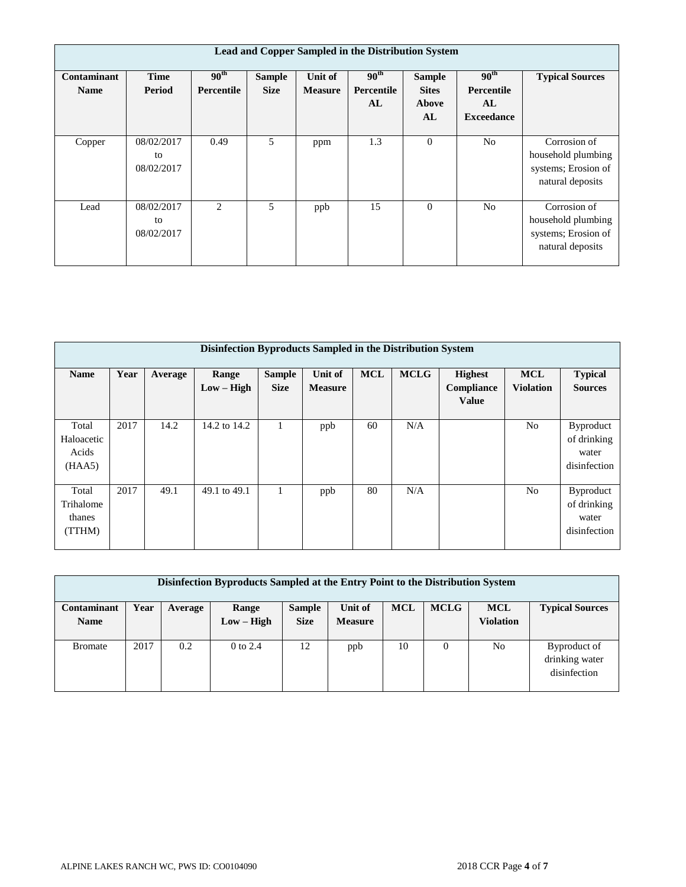|                            | Lead and Copper Sampled in the Distribution System |                                       |                              |                           |                                      |                                              |                                                                  |                                                                               |  |  |  |  |
|----------------------------|----------------------------------------------------|---------------------------------------|------------------------------|---------------------------|--------------------------------------|----------------------------------------------|------------------------------------------------------------------|-------------------------------------------------------------------------------|--|--|--|--|
| Contaminant<br><b>Name</b> | <b>Time</b><br>Period                              | 90 <sup>th</sup><br><b>Percentile</b> | <b>Sample</b><br><b>Size</b> | Unit of<br><b>Measure</b> | 90 <sup>th</sup><br>Percentile<br>AL | <b>Sample</b><br><b>Sites</b><br>Above<br>AL | 90 <sup>th</sup><br><b>Percentile</b><br>AL<br><b>Exceedance</b> | <b>Typical Sources</b>                                                        |  |  |  |  |
| Copper                     | 08/02/2017<br>to<br>08/02/2017                     | 0.49                                  | 5                            | ppm                       | 1.3                                  | $\Omega$                                     | N <sub>o</sub>                                                   | Corrosion of<br>household plumbing<br>systems; Erosion of<br>natural deposits |  |  |  |  |
| Lead                       | 08/02/2017<br>to<br>08/02/2017                     | 2                                     | 5                            | ppb                       | 15                                   | $\Omega$                                     | N <sub>o</sub>                                                   | Corrosion of<br>household plumbing<br>systems; Erosion of<br>natural deposits |  |  |  |  |

|                                        | Disinfection Byproducts Sampled in the Distribution System |         |                       |                              |                           |            |             |                                              |                                |                                                          |  |  |  |
|----------------------------------------|------------------------------------------------------------|---------|-----------------------|------------------------------|---------------------------|------------|-------------|----------------------------------------------|--------------------------------|----------------------------------------------------------|--|--|--|
| <b>Name</b>                            | Year                                                       | Average | Range<br>$Low - High$ | <b>Sample</b><br><b>Size</b> | Unit of<br><b>Measure</b> | <b>MCL</b> | <b>MCLG</b> | <b>Highest</b><br>Compliance<br><b>Value</b> | <b>MCL</b><br><b>Violation</b> | <b>Typical</b><br><b>Sources</b>                         |  |  |  |
| Total<br>Haloacetic<br>Acids<br>(HAA5) | 2017                                                       | 14.2    | 14.2 to 14.2          |                              | ppb                       | 60         | N/A         |                                              | N <sub>o</sub>                 | <b>Byproduct</b><br>of drinking<br>water<br>disinfection |  |  |  |
| Total<br>Trihalome<br>thanes<br>(TTHM) | 2017                                                       | 49.1    | 49.1 to 49.1          |                              | ppb                       | 80         | N/A         |                                              | N <sub>0</sub>                 | <b>Byproduct</b><br>of drinking<br>water<br>disinfection |  |  |  |

| Disinfection Byproducts Sampled at the Entry Point to the Distribution System |                                                                                                                           |     |              |             |                |    |          |                  |                |  |  |
|-------------------------------------------------------------------------------|---------------------------------------------------------------------------------------------------------------------------|-----|--------------|-------------|----------------|----|----------|------------------|----------------|--|--|
| Contaminant                                                                   | <b>MCLG</b><br><b>MCL</b><br>Unit of<br><b>MCL</b><br>Year<br><b>Typical Sources</b><br><b>Sample</b><br>Range<br>Average |     |              |             |                |    |          |                  |                |  |  |
| <b>Name</b>                                                                   |                                                                                                                           |     | $Low - High$ | <b>Size</b> | <b>Measure</b> |    |          | <b>Violation</b> |                |  |  |
|                                                                               |                                                                                                                           |     |              |             |                |    |          |                  |                |  |  |
| <b>Bromate</b>                                                                | 2017                                                                                                                      | 0.2 | $0$ to $2.4$ | 12          | ppb            | 10 | $\Omega$ | N <sub>0</sub>   | Byproduct of   |  |  |
|                                                                               |                                                                                                                           |     |              |             |                |    |          |                  | drinking water |  |  |
|                                                                               |                                                                                                                           |     |              |             |                |    |          |                  | disinfection   |  |  |
|                                                                               |                                                                                                                           |     |              |             |                |    |          |                  |                |  |  |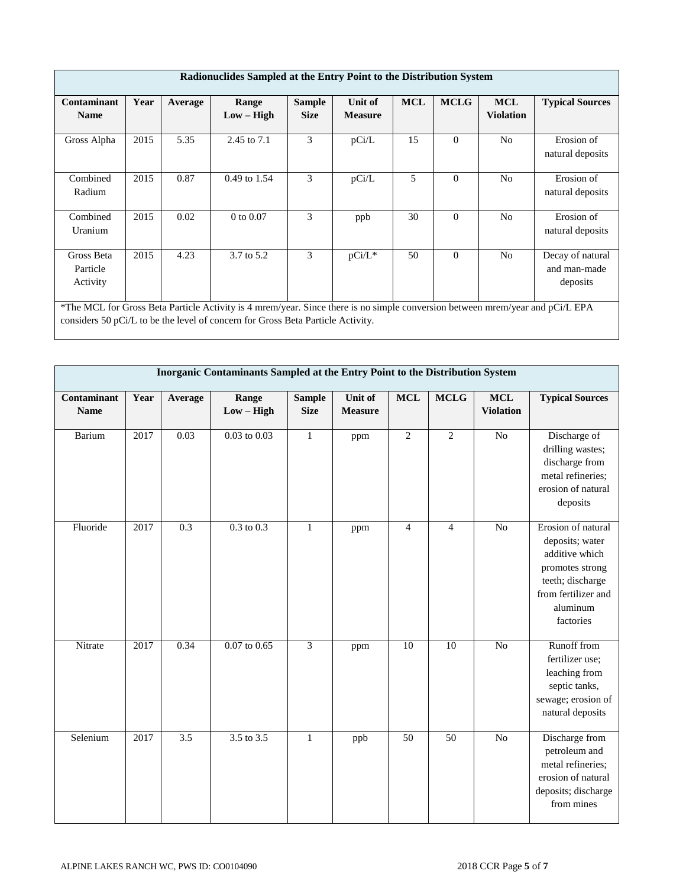|                                                                                                                                                                     | Radionuclides Sampled at the Entry Point to the Distribution System                                                                                                                                              |         |                       |                              |                           |            |             |                                |                                |  |  |  |
|---------------------------------------------------------------------------------------------------------------------------------------------------------------------|------------------------------------------------------------------------------------------------------------------------------------------------------------------------------------------------------------------|---------|-----------------------|------------------------------|---------------------------|------------|-------------|--------------------------------|--------------------------------|--|--|--|
| Contaminant<br><b>Name</b>                                                                                                                                          | Year                                                                                                                                                                                                             | Average | Range<br>$Low - High$ | <b>Sample</b><br><b>Size</b> | Unit of<br><b>Measure</b> | <b>MCL</b> | <b>MCLG</b> | <b>MCL</b><br><b>Violation</b> | <b>Typical Sources</b>         |  |  |  |
| Gross Alpha                                                                                                                                                         | 2015                                                                                                                                                                                                             | 5.35    | 2.45 to 7.1           | 3                            | pCi/L                     | 15         | $\Omega$    | N <sub>o</sub>                 | Erosion of<br>natural deposits |  |  |  |
| Combined<br>Radium                                                                                                                                                  | 2015                                                                                                                                                                                                             | 0.87    | 0.49 to 1.54          | 3                            | pCi/L                     | 5          | $\Omega$    | N <sub>o</sub>                 | Erosion of<br>natural deposits |  |  |  |
| Combined<br>Uranium                                                                                                                                                 | 2015                                                                                                                                                                                                             | 0.02    | $0$ to $0.07$         | 3                            | ppb                       | 30         | $\Omega$    | N <sub>0</sub>                 | Erosion of<br>natural deposits |  |  |  |
| 3<br>3.7 to 5.2<br>2015<br>4.23<br>pCi/L*<br>50<br>$\Omega$<br>Gross Beta<br>N <sub>0</sub><br>Decay of natural<br>Particle<br>and man-made<br>deposits<br>Activity |                                                                                                                                                                                                                  |         |                       |                              |                           |            |             |                                |                                |  |  |  |
|                                                                                                                                                                     | *The MCL for Gross Beta Particle Activity is 4 mrem/year. Since there is no simple conversion between mrem/year and pCi/L EPA<br>considers 50 pCi/L to be the level of concern for Gross Beta Particle Activity. |         |                       |                              |                           |            |             |                                |                                |  |  |  |

|                            | Inorganic Contaminants Sampled at the Entry Point to the Distribution System |                  |                       |                              |                           |                |                |                                |                                                                                                                                                |  |  |
|----------------------------|------------------------------------------------------------------------------|------------------|-----------------------|------------------------------|---------------------------|----------------|----------------|--------------------------------|------------------------------------------------------------------------------------------------------------------------------------------------|--|--|
| Contaminant<br><b>Name</b> | Year                                                                         | Average          | Range<br>$Low - High$ | <b>Sample</b><br><b>Size</b> | Unit of<br><b>Measure</b> | <b>MCL</b>     | <b>MCLG</b>    | <b>MCL</b><br><b>Violation</b> | <b>Typical Sources</b>                                                                                                                         |  |  |
| Barium                     | 2017                                                                         | 0.03             | $0.03$ to $0.03$      | $\mathbf{1}$                 | ppm                       | $\mathbf{2}$   | $\overline{2}$ | $\rm No$                       | Discharge of<br>drilling wastes;<br>discharge from<br>metal refineries;<br>erosion of natural<br>deposits                                      |  |  |
| Fluoride                   | 2017                                                                         | $\overline{0.3}$ | $0.3 \text{ to } 0.3$ | $\mathbf{1}$                 | ppm                       | $\overline{4}$ | $\overline{4}$ | $\overline{No}$                | Erosion of natural<br>deposits; water<br>additive which<br>promotes strong<br>teeth; discharge<br>from fertilizer and<br>aluminum<br>factories |  |  |
| Nitrate                    | 2017                                                                         | 0.34             | $0.07$ to $0.65$      | 3                            | ppm                       | 10             | 10             | $\overline{No}$                | Runoff from<br>fertilizer use;<br>leaching from<br>septic tanks,<br>sewage; erosion of<br>natural deposits                                     |  |  |
| Selenium                   | 2017                                                                         | 3.5              | $3.5 \text{ to } 3.5$ | $\mathbf{1}$                 | ppb                       | 50             | 50             | N <sub>o</sub>                 | Discharge from<br>petroleum and<br>metal refineries;<br>erosion of natural<br>deposits; discharge<br>from mines                                |  |  |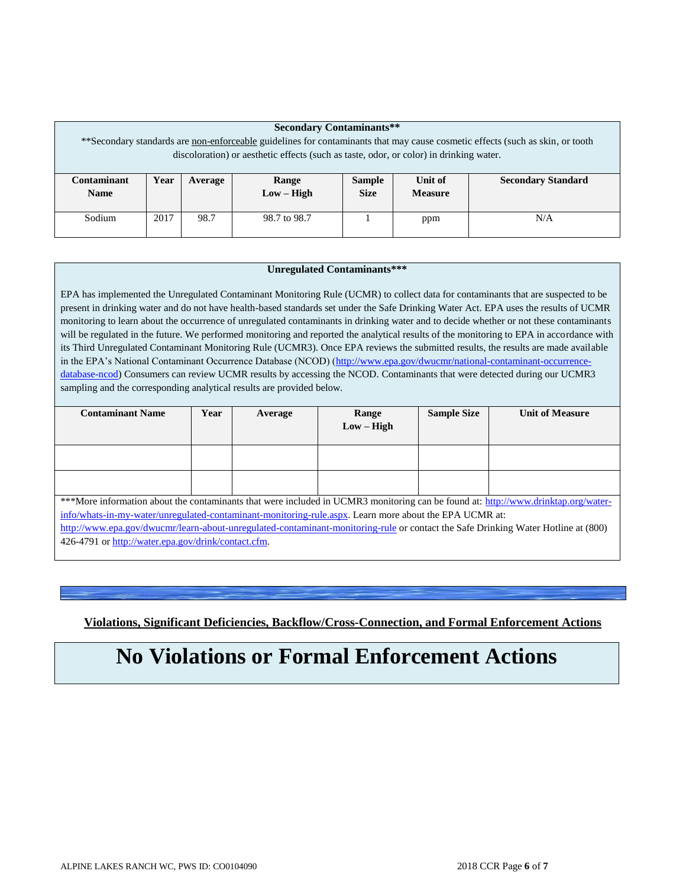|                                                                                                                                | <b>Secondary Contaminants**</b> |                                    |                                                                                        |               |                |                           |  |  |  |  |
|--------------------------------------------------------------------------------------------------------------------------------|---------------------------------|------------------------------------|----------------------------------------------------------------------------------------|---------------|----------------|---------------------------|--|--|--|--|
| ** Secondary standards are non-enforceable guidelines for contaminants that may cause cosmetic effects (such as skin, or tooth |                                 |                                    |                                                                                        |               |                |                           |  |  |  |  |
|                                                                                                                                |                                 |                                    | discoloration) or aesthetic effects (such as taste, odor, or color) in drinking water. |               |                |                           |  |  |  |  |
|                                                                                                                                |                                 |                                    |                                                                                        |               |                |                           |  |  |  |  |
| Contaminant                                                                                                                    | Year                            | Average                            | Range                                                                                  | <b>Sample</b> | Unit of        | <b>Secondary Standard</b> |  |  |  |  |
| <b>Name</b>                                                                                                                    |                                 |                                    | $Low - High$                                                                           | <b>Size</b>   | <b>Measure</b> |                           |  |  |  |  |
|                                                                                                                                |                                 |                                    |                                                                                        |               |                |                           |  |  |  |  |
| Sodium                                                                                                                         | 2017                            | 98.7<br>98.7 to 98.7<br>N/A<br>ppm |                                                                                        |               |                |                           |  |  |  |  |
|                                                                                                                                |                                 |                                    |                                                                                        |               |                |                           |  |  |  |  |

#### **Unregulated Contaminants\*\*\***

EPA has implemented the Unregulated Contaminant Monitoring Rule (UCMR) to collect data for contaminants that are suspected to be present in drinking water and do not have health-based standards set under the Safe Drinking Water Act. EPA uses the results of UCMR monitoring to learn about the occurrence of unregulated contaminants in drinking water and to decide whether or not these contaminants will be regulated in the future. We performed monitoring and reported the analytical results of the monitoring to EPA in accordance with its Third Unregulated Contaminant Monitoring Rule (UCMR3). Once EPA reviews the submitted results, the results are made available in the EPA's National Contaminant Occurrence Database (NCOD) [\(http://www.epa.gov/dwucmr/national-contaminant-occurrence](http://www.epa.gov/dwucmr/national-contaminant-occurrence-database-ncod)[database-ncod\)](http://www.epa.gov/dwucmr/national-contaminant-occurrence-database-ncod) Consumers can review UCMR results by accessing the NCOD. Contaminants that were detected during our UCMR3 sampling and the corresponding analytical results are provided below.

| <b>Contaminant Name</b>                                                                                                                                                                                                                     | Year | Average | Range<br>$Low - High$ | <b>Sample Size</b> | <b>Unit of Measure</b> |
|---------------------------------------------------------------------------------------------------------------------------------------------------------------------------------------------------------------------------------------------|------|---------|-----------------------|--------------------|------------------------|
|                                                                                                                                                                                                                                             |      |         |                       |                    |                        |
|                                                                                                                                                                                                                                             |      |         |                       |                    |                        |
| ***More information about the contaminants that were included in UCMR3 monitoring can be found at: http://www.drinktap.org/water-<br>info/whats-in-my-water/unregulated-contaminant-monitoring-rule.aspx. Learn more about the EPA UCMR at: |      |         |                       |                    |                        |

<http://www.epa.gov/dwucmr/learn-about-unregulated-contaminant-monitoring-rule> or contact the Safe Drinking Water Hotline at (800) 426-4791 o[r http://water.epa.gov/drink/contact.cfm.](http://water.epa.gov/drink/contact.cfm)

**Violations, Significant Deficiencies, Backflow/Cross-Connection, and Formal Enforcement Actions**

## **No Violations or Formal Enforcement Actions**